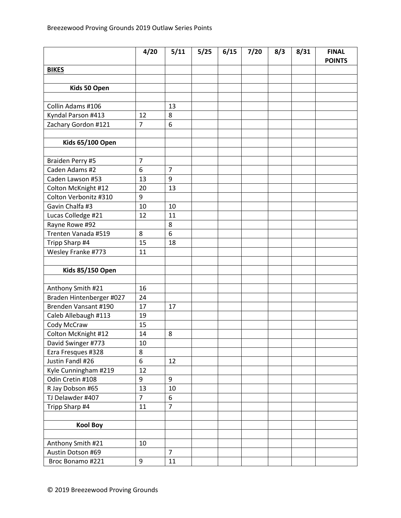|                                          | 4/20           | 5/11           | 5/25 | 6/15 | $7/20$ | 8/3 | 8/31 | <b>FINAL</b><br><b>POINTS</b> |
|------------------------------------------|----------------|----------------|------|------|--------|-----|------|-------------------------------|
| <b>BIKES</b>                             |                |                |      |      |        |     |      |                               |
|                                          |                |                |      |      |        |     |      |                               |
| Kids 50 Open                             |                |                |      |      |        |     |      |                               |
|                                          |                |                |      |      |        |     |      |                               |
| Collin Adams #106                        |                | 13             |      |      |        |     |      |                               |
| Kyndal Parson #413                       | 12             | 8              |      |      |        |     |      |                               |
| Zachary Gordon #121                      | $\overline{7}$ | 6              |      |      |        |     |      |                               |
|                                          |                |                |      |      |        |     |      |                               |
| <b>Kids 65/100 Open</b>                  |                |                |      |      |        |     |      |                               |
|                                          |                |                |      |      |        |     |      |                               |
| Braiden Perry #5                         | $\overline{7}$ |                |      |      |        |     |      |                               |
| Caden Adams #2                           | 6              | $\overline{7}$ |      |      |        |     |      |                               |
| Caden Lawson #53                         | 13             | 9              |      |      |        |     |      |                               |
| Colton McKnight #12                      | 20             | 13             |      |      |        |     |      |                               |
| Colton Verbonitz #310                    | 9              |                |      |      |        |     |      |                               |
| Gavin Chalfa #3                          | 10             | 10             |      |      |        |     |      |                               |
| Lucas Colledge #21                       | 12             | 11             |      |      |        |     |      |                               |
| Rayne Rowe #92                           |                | 8              |      |      |        |     |      |                               |
| Trenten Vanada #519                      | 8              | 6              |      |      |        |     |      |                               |
| Tripp Sharp #4                           | 15             | 18             |      |      |        |     |      |                               |
| Wesley Franke #773                       | 11             |                |      |      |        |     |      |                               |
|                                          |                |                |      |      |        |     |      |                               |
| <b>Kids 85/150 Open</b>                  |                |                |      |      |        |     |      |                               |
|                                          |                |                |      |      |        |     |      |                               |
| Anthony Smith #21                        | 16             |                |      |      |        |     |      |                               |
| Braden Hintenberger #027                 | 24             |                |      |      |        |     |      |                               |
| Brenden Vansant #190                     | 17             | 17             |      |      |        |     |      |                               |
| Caleb Allebaugh #113                     | 19             |                |      |      |        |     |      |                               |
| Cody McCraw                              | 15<br>14       | 8              |      |      |        |     |      |                               |
| Colton McKnight #12                      | 10             |                |      |      |        |     |      |                               |
| David Swinger #773<br>Ezra Fresques #328 | 8              |                |      |      |        |     |      |                               |
| Justin Fandl #26                         | 6              | 12             |      |      |        |     |      |                               |
| Kyle Cunningham #219                     | 12             |                |      |      |        |     |      |                               |
| Odin Cretin #108                         | 9              | 9              |      |      |        |     |      |                               |
| R Jay Dobson #65                         | 13             | 10             |      |      |        |     |      |                               |
| TJ Delawder #407                         | $\overline{7}$ | 6              |      |      |        |     |      |                               |
| Tripp Sharp #4                           | 11             | $\overline{7}$ |      |      |        |     |      |                               |
|                                          |                |                |      |      |        |     |      |                               |
| <b>Kool Boy</b>                          |                |                |      |      |        |     |      |                               |
|                                          |                |                |      |      |        |     |      |                               |
| Anthony Smith #21                        | 10             |                |      |      |        |     |      |                               |
| Austin Dotson #69                        |                | $\overline{7}$ |      |      |        |     |      |                               |
| Broc Bonamo #221                         | 9              | 11             |      |      |        |     |      |                               |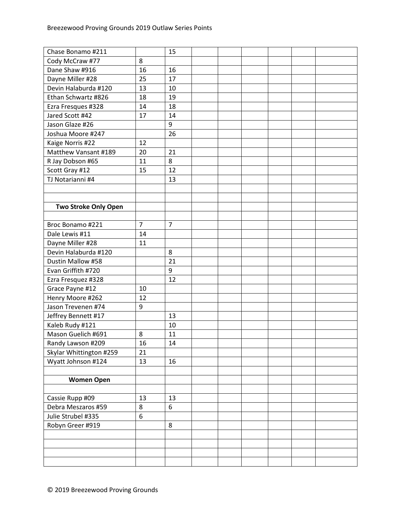| Chase Bonamo #211           |                | 15 |  |  |  |
|-----------------------------|----------------|----|--|--|--|
| Cody McCraw #77             | 8              |    |  |  |  |
| Dane Shaw #916              | 16             | 16 |  |  |  |
| Dayne Miller #28            | 25             | 17 |  |  |  |
| Devin Halaburda #120        | 13             | 10 |  |  |  |
| Ethan Schwartz #826         | 18             | 19 |  |  |  |
| Ezra Fresques #328          | 14             | 18 |  |  |  |
| Jared Scott #42             | 17             | 14 |  |  |  |
| Jason Glaze #26             |                | 9  |  |  |  |
| Joshua Moore #247           |                | 26 |  |  |  |
| Kaige Norris #22            | 12             |    |  |  |  |
| Matthew Vansant #189        | 20             | 21 |  |  |  |
| R Jay Dobson #65            | 11             | 8  |  |  |  |
| Scott Gray #12              | 15             | 12 |  |  |  |
| TJ Notarianni #4            |                | 13 |  |  |  |
|                             |                |    |  |  |  |
|                             |                |    |  |  |  |
| <b>Two Stroke Only Open</b> |                |    |  |  |  |
|                             |                |    |  |  |  |
| Broc Bonamo #221            | $\overline{7}$ | 7  |  |  |  |
| Dale Lewis #11              | 14             |    |  |  |  |
| Dayne Miller #28            | 11             |    |  |  |  |
| Devin Halaburda #120        |                | 8  |  |  |  |
| Dustin Mallow #58           |                | 21 |  |  |  |
| Evan Griffith #720          |                | 9  |  |  |  |
| Ezra Fresquez #328          |                | 12 |  |  |  |
| Grace Payne #12             | 10             |    |  |  |  |
| Henry Moore #262            | 12             |    |  |  |  |
| Jason Trevenen #74          | 9              |    |  |  |  |
| Jeffrey Bennett #17         |                | 13 |  |  |  |
| Kaleb Rudy #121             |                | 10 |  |  |  |
| Mason Guelich #691          | 8              | 11 |  |  |  |
| Randy Lawson #209           | 16             | 14 |  |  |  |
| Skylar Whittington #259     | 21             |    |  |  |  |
| Wyatt Johnson #124          | 13             | 16 |  |  |  |
|                             |                |    |  |  |  |
| <b>Women Open</b>           |                |    |  |  |  |
|                             |                |    |  |  |  |
| Cassie Rupp #09             | 13             | 13 |  |  |  |
| Debra Meszaros #59          | 8              | 6  |  |  |  |
| Julie Strubel #335          | 6              |    |  |  |  |
| Robyn Greer #919            |                | 8  |  |  |  |
|                             |                |    |  |  |  |
|                             |                |    |  |  |  |
|                             |                |    |  |  |  |
|                             |                |    |  |  |  |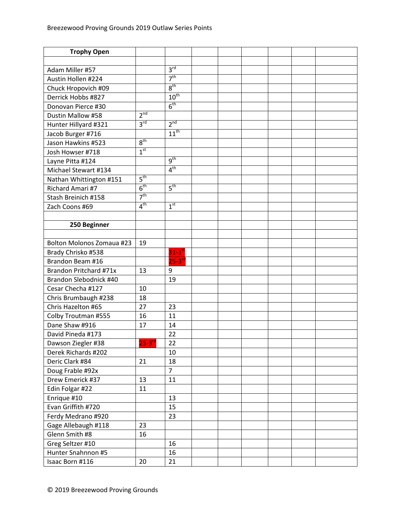| <b>Trophy Open</b>               |                     |                  |  |  |  |
|----------------------------------|---------------------|------------------|--|--|--|
|                                  |                     |                  |  |  |  |
| Adam Miller #57                  |                     | 3 <sup>rd</sup>  |  |  |  |
| Austin Hollen #224               |                     | 7 <sup>th</sup>  |  |  |  |
| Chuck Hropovich #09              |                     | 8 <sup>th</sup>  |  |  |  |
| Derrick Hobbs #827               |                     | $10^{th}$        |  |  |  |
| Donovan Pierce #30               |                     | 6 <sup>th</sup>  |  |  |  |
| Dustin Mallow #58                | $2^{\overline{nd}}$ |                  |  |  |  |
| Hunter Hillyard #321             | $3^{\text{rd}}$     | 2 <sup>nd</sup>  |  |  |  |
| Jacob Burger #716                |                     | $11^{th}$        |  |  |  |
| Jason Hawkins #523               | 8 <sup>th</sup>     |                  |  |  |  |
| Josh Howser #718                 | 1 <sup>st</sup>     |                  |  |  |  |
| Layne Pitta #124                 |                     | $q^{th}$         |  |  |  |
| Michael Stewart #134             |                     | 4 <sup>th</sup>  |  |  |  |
| Nathan Whittington #151          | $5^{\text{th}}$     |                  |  |  |  |
| Richard Amari #7                 | 6 <sup>th</sup>     | $5^{\text{th}}$  |  |  |  |
| Stash Breinich #158              | 7 <sup>th</sup>     |                  |  |  |  |
| Zach Coons #69                   | 4 <sup>th</sup>     | 1 <sup>st</sup>  |  |  |  |
|                                  |                     |                  |  |  |  |
| 250 Beginner                     |                     |                  |  |  |  |
|                                  |                     |                  |  |  |  |
| <b>Bolton Molonos Zomaua #23</b> | 19                  |                  |  |  |  |
| Brady Chrisko #538               |                     | $31-1^\text{st}$ |  |  |  |
| Brandon Beam #16                 |                     | $25-3^{rd}$      |  |  |  |
| Brandon Pritchard #71x           | 13                  | 9                |  |  |  |
| Brandon Slebodnick #40           |                     | 19               |  |  |  |
| Cesar Checha #127                | 10                  |                  |  |  |  |
| Chris Brumbaugh #238             | 18                  |                  |  |  |  |
| Chris Hazelton #65               | 27                  | 23               |  |  |  |
| Colby Troutman #555              | 16                  | 11               |  |  |  |
| Dane Shaw #916                   | 17                  | 14               |  |  |  |
| David Pineda #173                |                     | 22               |  |  |  |
| Dawson Ziegler #38               | $25 - 3^{ra}$       | 22               |  |  |  |
| Derek Richards #202              |                     | 10               |  |  |  |
| Deric Clark #84                  | 21                  | 18               |  |  |  |
| Doug Frable #92x                 |                     | $\overline{7}$   |  |  |  |
| Drew Emerick #37                 | 13                  | 11               |  |  |  |
| Edin Folgar #22                  | 11                  |                  |  |  |  |
| Enrique #10                      |                     | 13               |  |  |  |
| Evan Griffith #720               |                     | 15               |  |  |  |
| Ferdy Medrano #920               |                     | 23               |  |  |  |
| Gage Allebaugh #118              | 23                  |                  |  |  |  |
| Glenn Smith #8                   | 16                  |                  |  |  |  |
| Greg Seltzer #10                 |                     | 16               |  |  |  |
| Hunter Snahnnon #5               |                     | 16               |  |  |  |
| Isaac Born #116                  | 20                  | 21               |  |  |  |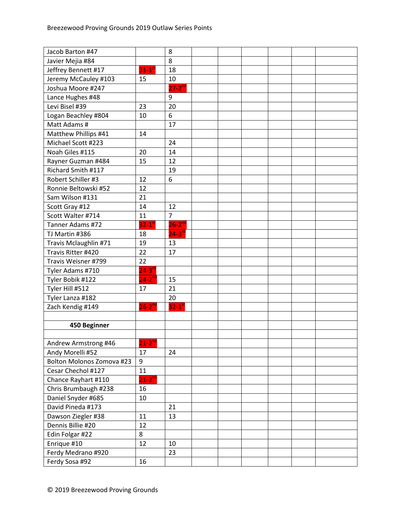| Jacob Barton #47          |                      | 8                    |  |  |  |
|---------------------------|----------------------|----------------------|--|--|--|
| Javier Mejia #84          |                      | 8                    |  |  |  |
| Jeffrey Bennett #17       | $31-1$ <sup>st</sup> | 18                   |  |  |  |
| Jeremy McCauley #103      | 15                   | 10                   |  |  |  |
| Joshua Moore #247         |                      | $27-2^{nd}$          |  |  |  |
| Lance Hughes #48          |                      | 9                    |  |  |  |
| Levi Bisel #39            | 23                   | 20                   |  |  |  |
| Logan Beachley #804       | 10                   | 6                    |  |  |  |
| Matt Adams #              |                      | 17                   |  |  |  |
| Matthew Phillips #41      | 14                   |                      |  |  |  |
| Michael Scott #223        |                      | 24                   |  |  |  |
| Noah Giles #115           | 20                   | 14                   |  |  |  |
| Rayner Guzman #484        | 15                   | 12                   |  |  |  |
| Richard Smith #117        |                      | 19                   |  |  |  |
| Robert Schiller #3        | 12                   | 6                    |  |  |  |
| Ronnie Beltowski #52      | 12                   |                      |  |  |  |
| Sam Wilson #131           | 21                   |                      |  |  |  |
| Scott Gray #12            | 14                   | 12                   |  |  |  |
| Scott Walter #714         | 11                   | $\overline{7}$       |  |  |  |
| Tanner Adams #72          | $32-1$ <sup>st</sup> | $26 - 2^{nd}$        |  |  |  |
| TJ Martin #386            | 18                   | $24 - 3^{rd}$        |  |  |  |
| Travis Mclaughlin #71     | 19                   | 13                   |  |  |  |
| Travis Ritter #420        | 22                   | 17                   |  |  |  |
| Travis Weisner #799       | 22                   |                      |  |  |  |
| Tyler Adams #710          | $24 - 3^{rd}$        |                      |  |  |  |
| Tyler Bobik #122          | $24 - 2^{nc}$        | 15                   |  |  |  |
| Tyler Hill #512           | 17                   | 21                   |  |  |  |
| Tyler Lanza #182          |                      | 20                   |  |  |  |
| Zach Kendig #149          | $26 - 2^{nd}$        | $32-1$ <sup>st</sup> |  |  |  |
|                           |                      |                      |  |  |  |
| 450 Beginner              |                      |                      |  |  |  |
|                           |                      |                      |  |  |  |
| Andrew Armstrong #46      | $21 - 2^{nd}$        |                      |  |  |  |
| Andy Morelli #52          | 17                   | 24                   |  |  |  |
| Bolton Molonos Zomova #23 | 9                    |                      |  |  |  |
| Cesar Chechol #127        | 11                   |                      |  |  |  |
| Chance Rayhart #110       | $21-2^{nd}$          |                      |  |  |  |
| Chris Brumbaugh #238      | 16                   |                      |  |  |  |
| Daniel Snyder #685        | 10                   |                      |  |  |  |
| David Pineda #173         |                      | 21                   |  |  |  |
| Dawson Ziegler #38        | 11                   | 13                   |  |  |  |
| Dennis Billie #20         | 12                   |                      |  |  |  |
| Edin Folgar #22           | 8                    |                      |  |  |  |
| Enrique #10               | 12                   | 10                   |  |  |  |
| Ferdy Medrano #920        |                      | 23                   |  |  |  |
| Ferdy Sosa #92            | 16                   |                      |  |  |  |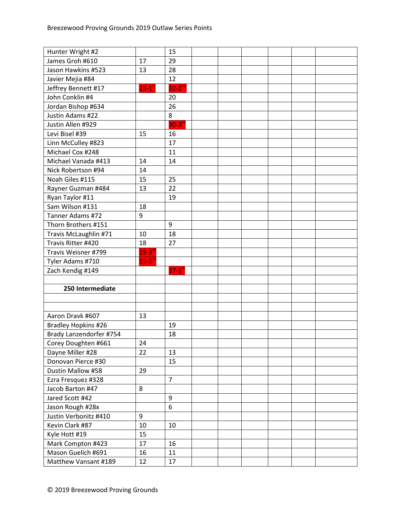| Hunter Wright #2        |                      | 15                   |  |  |  |
|-------------------------|----------------------|----------------------|--|--|--|
| James Groh #610         | 17                   | 29                   |  |  |  |
| Jason Hawkins #523      | 13                   | 28                   |  |  |  |
| Javier Mejia #84        |                      | 12                   |  |  |  |
| Jeffrey Bennett #17     | $26-1$ <sup>st</sup> | $32 - 2^{nd}$        |  |  |  |
| John Conklin #4         |                      | 20                   |  |  |  |
| Jordan Bishop #634      |                      | 26                   |  |  |  |
| Justin Adams #22        |                      | 8                    |  |  |  |
| Justin Allen #929       |                      | $30-3rd$             |  |  |  |
| Levi Bisel #39          | 15                   | 16                   |  |  |  |
| Linn McCulley #823      |                      | 17                   |  |  |  |
| Michael Cox #248        |                      | 11                   |  |  |  |
| Michael Vanada #413     | 14                   | 14                   |  |  |  |
| Nick Robertson #94      | 14                   |                      |  |  |  |
| Noah Giles #115         | 15                   | 25                   |  |  |  |
| Rayner Guzman #484      | 13                   | 22                   |  |  |  |
| Ryan Taylor #11         |                      | 19                   |  |  |  |
| Sam Wilson #131         | 18                   |                      |  |  |  |
| Tanner Adams #72        | 9                    |                      |  |  |  |
| Thorn Brothers #151     |                      | 9                    |  |  |  |
| Travis McLaughlin #71   | 10                   | 18                   |  |  |  |
| Travis Ritter #420      | 18                   | 27                   |  |  |  |
| Travis Weisner #799     | $19 - 3^{rd}$        |                      |  |  |  |
| Tyler Adams #710        | $19 - 3^{rd}$        |                      |  |  |  |
| Zach Kendig #149        |                      | $37-1$ <sup>st</sup> |  |  |  |
|                         |                      |                      |  |  |  |
| 250 Intermediate        |                      |                      |  |  |  |
|                         |                      |                      |  |  |  |
|                         |                      |                      |  |  |  |
| Aaron Dravk #607        | 13                   |                      |  |  |  |
| Bradley Hopkins #26     |                      | 19                   |  |  |  |
| Brady Lanzendorfer #754 |                      | 18                   |  |  |  |
| Corey Doughten #661     | 24                   |                      |  |  |  |
| Dayne Miller #28        | 22                   | 13                   |  |  |  |
| Donovan Pierce #30      |                      | 15                   |  |  |  |
| Dustin Mallow #58       | 29                   |                      |  |  |  |
| Ezra Fresquez #328      |                      | $\overline{7}$       |  |  |  |
| Jacob Barton #47        | 8                    |                      |  |  |  |
| Jared Scott #42         |                      | 9                    |  |  |  |
| Jason Rough #28x        |                      | 6                    |  |  |  |
| Justin Verbonitz #410   | 9                    |                      |  |  |  |
| Kevin Clark #87         | 10                   | 10                   |  |  |  |
| Kyle Hott #19           | 15                   |                      |  |  |  |
| Mark Compton #423       | 17                   | 16                   |  |  |  |
| Mason Guelich #691      | 16                   | 11                   |  |  |  |
| Matthew Vansant #189    | 12                   | 17                   |  |  |  |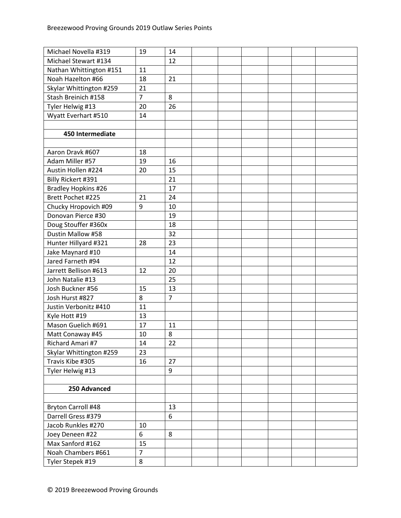| Michael Novella #319      | 19             | 14             |  |  |  |
|---------------------------|----------------|----------------|--|--|--|
| Michael Stewart #134      |                | 12             |  |  |  |
| Nathan Whittington #151   | 11             |                |  |  |  |
| Noah Hazelton #66         | 18             | 21             |  |  |  |
| Skylar Whittington #259   | 21             |                |  |  |  |
| Stash Breinich #158       | $\overline{7}$ | 8              |  |  |  |
| Tyler Helwig #13          | 20             | 26             |  |  |  |
| Wyatt Everhart #510       | 14             |                |  |  |  |
|                           |                |                |  |  |  |
| 450 Intermediate          |                |                |  |  |  |
|                           |                |                |  |  |  |
| Aaron Dravk #607          | 18             |                |  |  |  |
| Adam Miller #57           | 19             | 16             |  |  |  |
| Austin Hollen #224        | 20             | 15             |  |  |  |
| Billy Rickert #391        |                | 21             |  |  |  |
| Bradley Hopkins #26       |                | 17             |  |  |  |
| Brett Pochet #225         | 21             | 24             |  |  |  |
| Chucky Hropovich #09      | 9              | 10             |  |  |  |
| Donovan Pierce #30        |                | 19             |  |  |  |
| Doug Stouffer #360x       |                | 18             |  |  |  |
| Dustin Mallow #58         |                | 32             |  |  |  |
| Hunter Hillyard #321      | 28             | 23             |  |  |  |
| Jake Maynard #10          |                | 14             |  |  |  |
| Jared Farneth #94         |                | 12             |  |  |  |
| Jarrett Bellison #613     | 12             | 20             |  |  |  |
| John Natalie #13          |                | 25             |  |  |  |
| Josh Buckner #56          | 15             | 13             |  |  |  |
| Josh Hurst #827           | 8              | $\overline{7}$ |  |  |  |
| Justin Verbonitz #410     | 11             |                |  |  |  |
| Kyle Hott #19             | 13             |                |  |  |  |
| Mason Guelich #691        | 17             | 11             |  |  |  |
| Matt Conaway #45          | 10             | 8              |  |  |  |
| Richard Amari #7          | 14             | 22             |  |  |  |
| Skylar Whittington #259   | 23             |                |  |  |  |
| Travis Kibe #305          | 16             | 27             |  |  |  |
| Tyler Helwig #13          |                | 9              |  |  |  |
|                           |                |                |  |  |  |
| 250 Advanced              |                |                |  |  |  |
|                           |                |                |  |  |  |
| <b>Bryton Carroll #48</b> |                | 13             |  |  |  |
| Darrell Gress #379        |                | 6              |  |  |  |
| Jacob Runkles #270        | 10             |                |  |  |  |
| Joey Deneen #22           | 6              | 8              |  |  |  |
| Max Sanford #162          | 15             |                |  |  |  |
| Noah Chambers #661        | $\overline{7}$ |                |  |  |  |
| Tyler Stepek #19          | 8              |                |  |  |  |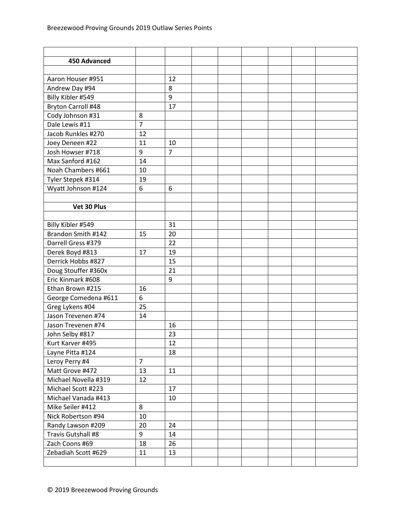| 450 Advanced              |                |                |  |  |  |
|---------------------------|----------------|----------------|--|--|--|
|                           |                |                |  |  |  |
| Aaron Houser #951         |                | 12             |  |  |  |
| Andrew Day #94            |                | 8              |  |  |  |
| Billy Kibler #549         |                | 9              |  |  |  |
| <b>Bryton Carroll #48</b> |                | 17             |  |  |  |
| Cody Johnson #31          | 8              |                |  |  |  |
| Dale Lewis #11            | $\overline{7}$ |                |  |  |  |
| Jacob Runkles #270        | 12             |                |  |  |  |
| Joey Deneen #22           | 11             | 10             |  |  |  |
| Josh Howser #718          | 9              | $\overline{7}$ |  |  |  |
| Max Sanford #162          | 14             |                |  |  |  |
| Noah Chambers #661        | 10             |                |  |  |  |
| Tyler Stepek #314         | 19             |                |  |  |  |
| Wyatt Johnson #124        | 6              | 6              |  |  |  |
|                           |                |                |  |  |  |
| Vet 30 Plus               |                |                |  |  |  |
|                           |                |                |  |  |  |
| Billy Kibler #549         |                | 31             |  |  |  |
| Brandon Smith #142        | 15             | 20             |  |  |  |
| Darrell Gress #379        |                | 22             |  |  |  |
| Derek Boyd #813           | 17             | 19             |  |  |  |
| Derrick Hobbs #827        |                | 15             |  |  |  |
| Doug Stouffer #360x       |                | 21             |  |  |  |
| Eric Kinmark #608         |                | 9              |  |  |  |
| Ethan Brown #215          | 16             |                |  |  |  |
| George Comedena #611      | 6              |                |  |  |  |
| Greg Lykens #04           | 25             |                |  |  |  |
| Jason Trevenen #74        | 14             |                |  |  |  |
| Jason Trevenen #74        |                | 16             |  |  |  |
| John Selby #817           |                | 23             |  |  |  |
| Kurt Karver #495          |                | 12             |  |  |  |
| Layne Pitta #124          |                | 18             |  |  |  |
| Leroy Perry #4            | $\overline{7}$ |                |  |  |  |
| Matt Grove #472           | 13             | 11             |  |  |  |
| Michael Novella #319      | 12             |                |  |  |  |
| Michael Scott #223        |                | 17             |  |  |  |
| Michael Vanada #413       |                | 10             |  |  |  |
| Mike Seiler #412          | 8              |                |  |  |  |
| Nick Robertson #94        | 10             |                |  |  |  |
| Randy Lawson #209         | 20             | 24             |  |  |  |
| Travis Gutshall #8        | 9              | 14             |  |  |  |
| Zach Coons #69            | 18             | 26             |  |  |  |
| Zebadiah Scott #629       | 11             | 13             |  |  |  |
|                           |                |                |  |  |  |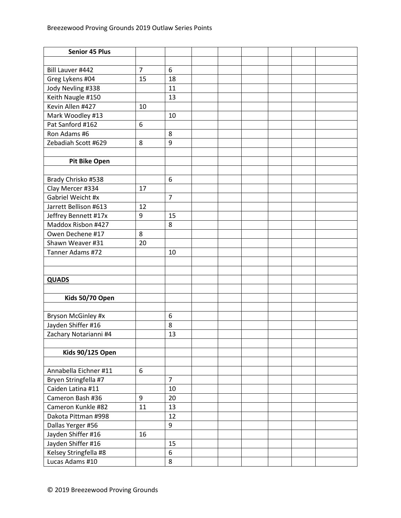| <b>Senior 45 Plus</b>   |                |                |  |  |  |
|-------------------------|----------------|----------------|--|--|--|
|                         |                |                |  |  |  |
| Bill Lauver #442        | $\overline{7}$ | 6              |  |  |  |
| Greg Lykens #04         | 15             | 18             |  |  |  |
| Jody Nevling #338       |                | 11             |  |  |  |
| Keith Naugle #150       |                | 13             |  |  |  |
| Kevin Allen #427        | 10             |                |  |  |  |
| Mark Woodley #13        |                | 10             |  |  |  |
| Pat Sanford #162        | 6              |                |  |  |  |
| Ron Adams #6            |                | 8              |  |  |  |
| Zebadiah Scott #629     | 8              | 9              |  |  |  |
|                         |                |                |  |  |  |
| <b>Pit Bike Open</b>    |                |                |  |  |  |
|                         |                |                |  |  |  |
| Brady Chrisko #538      |                | 6              |  |  |  |
| Clay Mercer #334        | 17             |                |  |  |  |
| Gabriel Weicht #x       |                | $\overline{7}$ |  |  |  |
| Jarrett Bellison #613   | 12             |                |  |  |  |
| Jeffrey Bennett #17x    | 9              | 15             |  |  |  |
| Maddox Risbon #427      |                | 8              |  |  |  |
| Owen Dechene #17        | 8              |                |  |  |  |
| Shawn Weaver #31        | 20             |                |  |  |  |
| Tanner Adams #72        |                | 10             |  |  |  |
|                         |                |                |  |  |  |
|                         |                |                |  |  |  |
| <b>QUADS</b>            |                |                |  |  |  |
|                         |                |                |  |  |  |
| Kids 50/70 Open         |                |                |  |  |  |
|                         |                |                |  |  |  |
| Bryson McGinley #x      |                | 6              |  |  |  |
| Jayden Shiffer #16      |                | 8              |  |  |  |
| Zachary Notarianni #4   |                | 13             |  |  |  |
|                         |                |                |  |  |  |
| <b>Kids 90/125 Open</b> |                |                |  |  |  |
|                         |                |                |  |  |  |
| Annabella Eichner #11   | 6              |                |  |  |  |
| Bryen Stringfella #7    |                | $\overline{7}$ |  |  |  |
| Caiden Latina #11       |                | 10             |  |  |  |
| Cameron Bash #36        | 9              | 20             |  |  |  |
| Cameron Kunkle #82      | 11             | 13             |  |  |  |
| Dakota Pittman #998     |                | 12             |  |  |  |
| Dallas Yerger #56       |                | 9              |  |  |  |
| Jayden Shiffer #16      | 16             |                |  |  |  |
| Jayden Shiffer #16      |                | 15             |  |  |  |
| Kelsey Stringfella #8   |                | 6              |  |  |  |
| Lucas Adams #10         |                | 8              |  |  |  |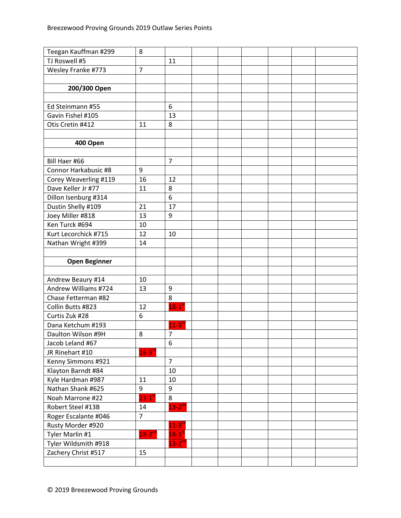| Teegan Kauffman #299  | 8                    |                      |  |  |  |
|-----------------------|----------------------|----------------------|--|--|--|
| TJ Roswell #5         |                      | 11                   |  |  |  |
| Wesley Franke #773    | $\overline{7}$       |                      |  |  |  |
|                       |                      |                      |  |  |  |
| 200/300 Open          |                      |                      |  |  |  |
|                       |                      |                      |  |  |  |
| Ed Steinmann #55      |                      | 6                    |  |  |  |
| Gavin Fishel #105     |                      | 13                   |  |  |  |
| Otis Cretin #412      | 11                   | 8                    |  |  |  |
|                       |                      |                      |  |  |  |
| 400 Open              |                      |                      |  |  |  |
|                       |                      |                      |  |  |  |
| Bill Haer #66         |                      | $\overline{7}$       |  |  |  |
| Connor Harkabusic #8  | 9                    |                      |  |  |  |
| Corey Weaverling #119 | 16                   | 12                   |  |  |  |
| Dave Keller Jr #77    | 11                   | 8                    |  |  |  |
| Dillon Isenburg #314  |                      | 6                    |  |  |  |
| Dustin Shelly #109    | 21                   | 17                   |  |  |  |
| Joey Miller #818      | 13                   | 9                    |  |  |  |
| Ken Turck #694        | 10                   |                      |  |  |  |
| Kurt Lecorchick #715  | 12                   | 10                   |  |  |  |
| Nathan Wright #399    | 14                   |                      |  |  |  |
|                       |                      |                      |  |  |  |
|                       |                      |                      |  |  |  |
| <b>Open Beginner</b>  |                      |                      |  |  |  |
|                       |                      |                      |  |  |  |
| Andrew Beaury #14     | 10                   |                      |  |  |  |
| Andrew Williams #724  | 13                   | 9                    |  |  |  |
| Chase Fetterman #82   |                      | 8                    |  |  |  |
| Collin Butts #823     | 12                   | $18-1$ <sup>st</sup> |  |  |  |
| Curtis Zuk #28        | 6                    |                      |  |  |  |
| Dana Ketchum #193     |                      | $11-3^{rd}$          |  |  |  |
| Daulton Wilson #9H    | 8                    | $\overline{7}$       |  |  |  |
| Jacob Leland #67      |                      | 6                    |  |  |  |
| JR Rinehart #10       | $16-3$ <sup>rd</sup> |                      |  |  |  |
| Kenny Simmons #921    |                      | $\overline{7}$       |  |  |  |
| Klayton Barndt #84    |                      | 10                   |  |  |  |
| Kyle Hardman #987     | 11                   | 10                   |  |  |  |
| Nathan Shank #625     | 9                    | 9                    |  |  |  |
| Noah Marrone #22      | $23-1$ <sup>st</sup> | 8                    |  |  |  |
| Robert Steel #13B     | 14                   | $13-2^{nd}$          |  |  |  |
| Roger Escalante #046  | $\overline{7}$       |                      |  |  |  |
| Rusty Morder #920     |                      | $11-3$ <sup>rd</sup> |  |  |  |
| Tyler Marlin #1       | $18-2^{nd}$          | $18-1$ <sup>st</sup> |  |  |  |
| Tyler Wildsmith #918  |                      | $13-2^{nd}$          |  |  |  |
| Zachery Christ #517   | 15                   |                      |  |  |  |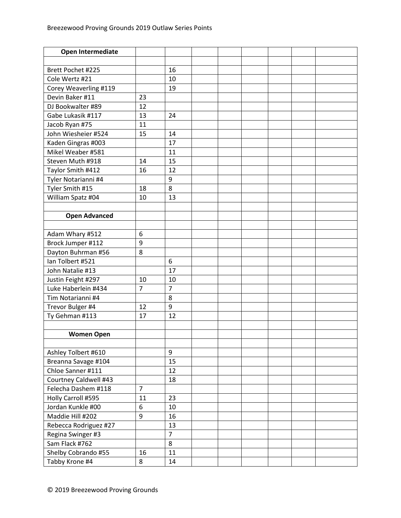| Open Intermediate     |                |                |  |  |  |
|-----------------------|----------------|----------------|--|--|--|
|                       |                |                |  |  |  |
| Brett Pochet #225     |                | 16             |  |  |  |
| Cole Wertz #21        |                | 10             |  |  |  |
| Corey Weaverling #119 |                | 19             |  |  |  |
| Devin Baker #11       | 23             |                |  |  |  |
| DJ Bookwalter #89     | 12             |                |  |  |  |
| Gabe Lukasik #117     | 13             | 24             |  |  |  |
| Jacob Ryan #75        | 11             |                |  |  |  |
| John Wiesheier #524   | 15             | 14             |  |  |  |
| Kaden Gingras #003    |                | 17             |  |  |  |
| Mikel Weaber #581     |                | 11             |  |  |  |
| Steven Muth #918      | 14             | 15             |  |  |  |
| Taylor Smith #412     | 16             | 12             |  |  |  |
| Tyler Notarianni #4   |                | 9              |  |  |  |
| Tyler Smith #15       | 18             | 8              |  |  |  |
| William Spatz #04     | 10             | 13             |  |  |  |
|                       |                |                |  |  |  |
| <b>Open Advanced</b>  |                |                |  |  |  |
|                       |                |                |  |  |  |
| Adam Whary #512       | 6              |                |  |  |  |
| Brock Jumper #112     | 9              |                |  |  |  |
| Dayton Buhrman #56    | 8              |                |  |  |  |
| Ian Tolbert #521      |                | 6              |  |  |  |
| John Natalie #13      |                | 17             |  |  |  |
| Justin Feight #297    | 10             | 10             |  |  |  |
| Luke Haberlein #434   | $\overline{7}$ | $\overline{7}$ |  |  |  |
| Tim Notarianni #4     |                | 8              |  |  |  |
| Trevor Bulger #4      | 12             | 9              |  |  |  |
| Ty Gehman #113        | 17             | 12             |  |  |  |
|                       |                |                |  |  |  |
| <b>Women Open</b>     |                |                |  |  |  |
|                       |                |                |  |  |  |
| Ashley Tolbert #610   |                | 9              |  |  |  |
| Breanna Savage #104   |                | 15             |  |  |  |
| Chloe Sanner #111     |                | 12             |  |  |  |
| Courtney Caldwell #43 |                | 18             |  |  |  |
| Felecha Dashem #118   | $\overline{7}$ |                |  |  |  |
| Holly Carroll #595    | 11             | 23             |  |  |  |
| Jordan Kunkle #00     | 6              | 10             |  |  |  |
| Maddie Hill #202      | 9              | 16             |  |  |  |
| Rebecca Rodriguez #27 |                | 13             |  |  |  |
| Regina Swinger #3     |                | $\overline{7}$ |  |  |  |
| Sam Flack #762        |                | 8              |  |  |  |
| Shelby Cobrando #55   | 16             | 11             |  |  |  |
| Tabby Krone #4        | 8              | 14             |  |  |  |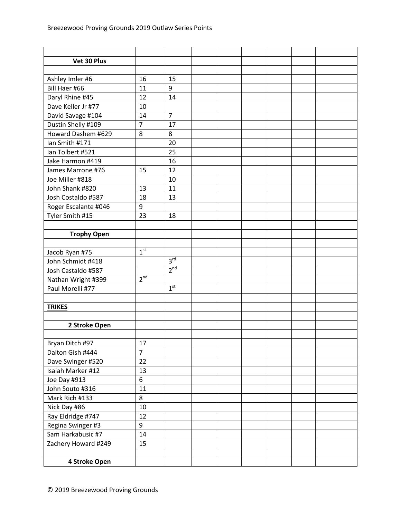| Vet 30 Plus          |                 |                 |  |  |  |
|----------------------|-----------------|-----------------|--|--|--|
|                      |                 |                 |  |  |  |
| Ashley Imler #6      | 16              | 15              |  |  |  |
| Bill Haer #66        | 11              | 9               |  |  |  |
| Daryl Rhine #45      | 12              | 14              |  |  |  |
| Dave Keller Jr #77   | 10              |                 |  |  |  |
| David Savage #104    | 14              | $\overline{7}$  |  |  |  |
| Dustin Shelly #109   | $\overline{7}$  | 17              |  |  |  |
| Howard Dashem #629   | 8               | 8               |  |  |  |
| Ian Smith #171       |                 | 20              |  |  |  |
| Ian Tolbert #521     |                 | 25              |  |  |  |
| Jake Harmon #419     |                 | 16              |  |  |  |
| James Marrone #76    | 15              | 12              |  |  |  |
| Joe Miller #818      |                 | 10              |  |  |  |
| John Shank #820      | 13              | 11              |  |  |  |
| Josh Costaldo #587   | 18              | 13              |  |  |  |
| Roger Escalante #046 | 9               |                 |  |  |  |
| Tyler Smith #15      | 23              | 18              |  |  |  |
|                      |                 |                 |  |  |  |
| <b>Trophy Open</b>   |                 |                 |  |  |  |
|                      |                 |                 |  |  |  |
| Jacob Ryan #75       | 1 <sup>st</sup> |                 |  |  |  |
| John Schmidt #418    |                 | 3 <sup>rd</sup> |  |  |  |
| Josh Castaldo #587   |                 | 2 <sup>nd</sup> |  |  |  |
| Nathan Wright #399   | 2 <sup>nd</sup> |                 |  |  |  |
| Paul Morelli #77     |                 | 1 <sup>st</sup> |  |  |  |
|                      |                 |                 |  |  |  |
| <b>TRIKES</b>        |                 |                 |  |  |  |
|                      |                 |                 |  |  |  |
| 2 Stroke Open        |                 |                 |  |  |  |
|                      |                 |                 |  |  |  |
| Bryan Ditch #97      | 17              |                 |  |  |  |
| Dalton Gish #444     | $\overline{7}$  |                 |  |  |  |
| Dave Swinger #520    | 22              |                 |  |  |  |
| Isaiah Marker #12    | 13              |                 |  |  |  |
| Joe Day #913         | 6               |                 |  |  |  |
| John Souto #316      | 11              |                 |  |  |  |
| Mark Rich #133       | 8               |                 |  |  |  |
| Nick Day #86         | $10\,$          |                 |  |  |  |
| Ray Eldridge #747    | 12              |                 |  |  |  |
| Regina Swinger #3    | 9               |                 |  |  |  |
| Sam Harkabusic #7    | 14              |                 |  |  |  |
| Zachery Howard #249  | 15              |                 |  |  |  |
|                      |                 |                 |  |  |  |
| 4 Stroke Open        |                 |                 |  |  |  |
|                      |                 |                 |  |  |  |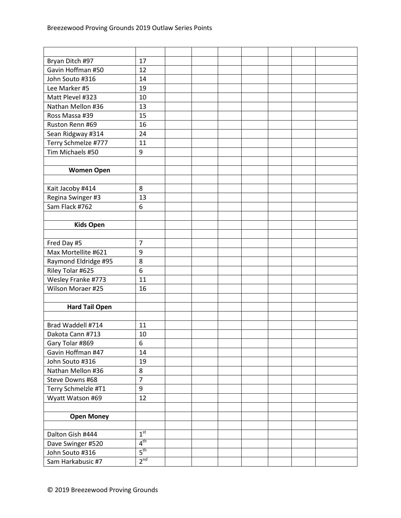| Bryan Ditch #97       | 17              |  |  |  |  |
|-----------------------|-----------------|--|--|--|--|
| Gavin Hoffman #50     | 12              |  |  |  |  |
| John Souto #316       | 14              |  |  |  |  |
| Lee Marker #5         | 19              |  |  |  |  |
| Matt Plevel #323      | 10              |  |  |  |  |
| Nathan Mellon #36     | 13              |  |  |  |  |
| Ross Massa #39        | 15              |  |  |  |  |
| Ruston Renn #69       | 16              |  |  |  |  |
| Sean Ridgway #314     | 24              |  |  |  |  |
| Terry Schmelze #777   | 11              |  |  |  |  |
| Tim Michaels #50      | 9               |  |  |  |  |
|                       |                 |  |  |  |  |
| <b>Women Open</b>     |                 |  |  |  |  |
|                       |                 |  |  |  |  |
| Kait Jacoby #414      | 8               |  |  |  |  |
| Regina Swinger #3     | 13              |  |  |  |  |
| Sam Flack #762        | 6               |  |  |  |  |
|                       |                 |  |  |  |  |
| <b>Kids Open</b>      |                 |  |  |  |  |
|                       |                 |  |  |  |  |
| Fred Day #5           | $\overline{7}$  |  |  |  |  |
| Max Mortellite #621   | 9               |  |  |  |  |
| Raymond Eldridge #95  | 8               |  |  |  |  |
| Riley Tolar #625      | 6               |  |  |  |  |
| Wesley Franke #773    | 11              |  |  |  |  |
| Wilson Moraer #25     | 16              |  |  |  |  |
|                       |                 |  |  |  |  |
| <b>Hard Tail Open</b> |                 |  |  |  |  |
|                       |                 |  |  |  |  |
| Brad Waddell #714     | 11              |  |  |  |  |
| Dakota Cann #713      | 10              |  |  |  |  |
| Gary Tolar #869       | 6               |  |  |  |  |
| Gavin Hoffman #47     | 14              |  |  |  |  |
| John Souto #316       | 19              |  |  |  |  |
| Nathan Mellon #36     | 8               |  |  |  |  |
| Steve Downs #68       | $\overline{7}$  |  |  |  |  |
| Terry Schmelzle #T1   | 9               |  |  |  |  |
| Wyatt Watson #69      | 12              |  |  |  |  |
|                       |                 |  |  |  |  |
| <b>Open Money</b>     |                 |  |  |  |  |
|                       |                 |  |  |  |  |
| Dalton Gish #444      | 1 <sup>st</sup> |  |  |  |  |
| Dave Swinger #520     | $4^{\text{th}}$ |  |  |  |  |
| John Souto #316       | $5^{\text{th}}$ |  |  |  |  |
| Sam Harkabusic #7     | 2 <sup>nd</sup> |  |  |  |  |